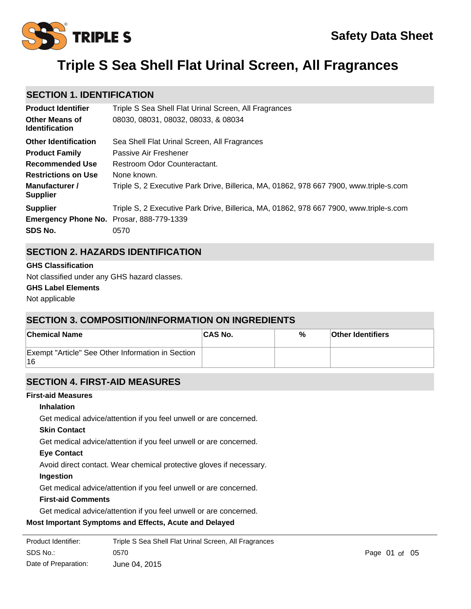

# **Triple S Sea Shell Flat Urinal Screen, All Fragrances**

# **SECTION 1. IDENTIFICATION**

| <b>Product Identifier</b>                                  | Triple S Sea Shell Flat Urinal Screen, All Fragrances                                  |
|------------------------------------------------------------|----------------------------------------------------------------------------------------|
| <b>Other Means of</b><br><b>Identification</b>             | 08030, 08031, 08032, 08033, & 08034                                                    |
| <b>Other Identification</b>                                | Sea Shell Flat Urinal Screen, All Fragrances                                           |
| <b>Product Family</b>                                      | Passive Air Freshener                                                                  |
| <b>Recommended Use</b>                                     | Restroom Odor Counteractant.                                                           |
| <b>Restrictions on Use</b>                                 | None known.                                                                            |
| Manufacturer /<br><b>Supplier</b>                          | Triple S, 2 Executive Park Drive, Billerica, MA, 01862, 978 667 7900, www.triple-s.com |
| <b>Supplier</b>                                            | Triple S, 2 Executive Park Drive, Billerica, MA, 01862, 978 667 7900, www.triple-s.com |
| <b>Emergency Phone No.</b> Prosar, 888-779-1339<br>SDS No. | 0570                                                                                   |

# **SECTION 2. HAZARDS IDENTIFICATION**

#### **GHS Classification**

**GHS Label Elements** Not classified under any GHS hazard classes.

Not applicable

# **SECTION 3. COMPOSITION/INFORMATION ON INGREDIENTS**

| <b>Chemical Name</b>                                    | <b>CAS No.</b> | % | <b>Other Identifiers</b> |
|---------------------------------------------------------|----------------|---|--------------------------|
| Exempt "Article" See Other Information in Section<br>16 |                |   |                          |

# **SECTION 4. FIRST-AID MEASURES**

### **First-aid Measures**

### **Inhalation**

Get medical advice/attention if you feel unwell or are concerned.

### **Skin Contact**

Get medical advice/attention if you feel unwell or are concerned.

### **Eye Contact**

Avoid direct contact. Wear chemical protective gloves if necessary.

### **Ingestion**

Get medical advice/attention if you feel unwell or are concerned.

### **First-aid Comments**

Get medical advice/attention if you feel unwell or are concerned.

### **Most Important Symptoms and Effects, Acute and Delayed**

Product Identifier: SDS No.: Date of Preparation: 0570 **Page 01 of 05** June 04, 2015 Triple S Sea Shell Flat Urinal Screen, All Fragrances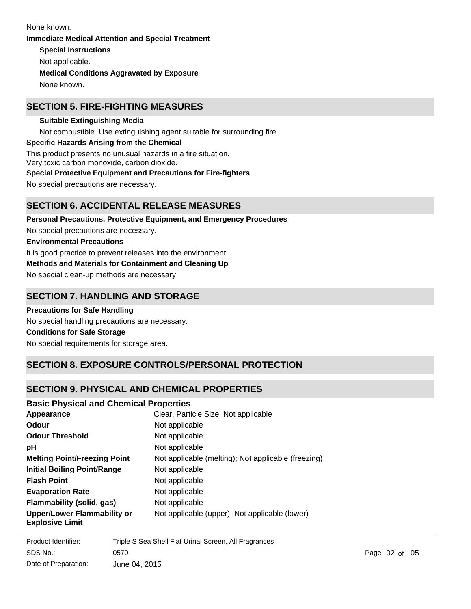**Special Instructions** Not applicable. **Immediate Medical Attention and Special Treatment Medical Conditions Aggravated by Exposure** None known. None known.

# **SECTION 5. FIRE-FIGHTING MEASURES**

**Suitable Extinguishing Media** Not combustible. Use extinguishing agent suitable for surrounding fire. **Specific Hazards Arising from the Chemical** This product presents no unusual hazards in a fire situation. Very toxic carbon monoxide, carbon dioxide. **Special Protective Equipment and Precautions for Fire-fighters**

No special precautions are necessary.

# **SECTION 6. ACCIDENTAL RELEASE MEASURES**

**Personal Precautions, Protective Equipment, and Emergency Procedures** No special precautions are necessary. **Environmental Precautions** It is good practice to prevent releases into the environment. **Methods and Materials for Containment and Cleaning Up** No special clean-up methods are necessary.

### **SECTION 7. HANDLING AND STORAGE**

**Precautions for Safe Handling** No special handling precautions are necessary. **Conditions for Safe Storage** No special requirements for storage area.

# **SECTION 8. EXPOSURE CONTROLS/PERSONAL PROTECTION**

# **SECTION 9. PHYSICAL AND CHEMICAL PROPERTIES**

| <b>Basic Physical and Chemical Properties</b>                |                                                     |
|--------------------------------------------------------------|-----------------------------------------------------|
| Appearance                                                   | Clear. Particle Size: Not applicable                |
| Odour                                                        | Not applicable                                      |
| <b>Odour Threshold</b>                                       | Not applicable                                      |
| рH                                                           | Not applicable                                      |
| <b>Melting Point/Freezing Point</b>                          | Not applicable (melting); Not applicable (freezing) |
| <b>Initial Boiling Point/Range</b>                           | Not applicable                                      |
| <b>Flash Point</b>                                           | Not applicable                                      |
| <b>Evaporation Rate</b>                                      | Not applicable                                      |
| Flammability (solid, gas)                                    | Not applicable                                      |
| <b>Upper/Lower Flammability or</b><br><b>Explosive Limit</b> | Not applicable (upper); Not applicable (lower)      |

| Product Identifier:  | Triple S Sea Shell Flat Urinal Screen, All Fragrances |
|----------------------|-------------------------------------------------------|
| SDS No.:             | 0570                                                  |
| Date of Preparation: | June 04, 2015                                         |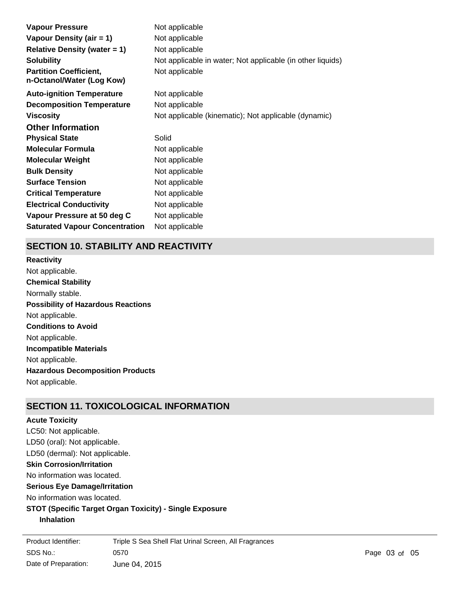| Vapour Pressure                                            | Not applicable                                             |
|------------------------------------------------------------|------------------------------------------------------------|
| Vapour Density (air $= 1$ )                                | Not applicable                                             |
| Relative Density (water $= 1$ )                            | Not applicable                                             |
| <b>Solubility</b>                                          | Not applicable in water; Not applicable (in other liquids) |
| <b>Partition Coefficient,</b><br>n-Octanol/Water (Log Kow) | Not applicable                                             |
| <b>Auto-ignition Temperature</b>                           | Not applicable                                             |
| <b>Decomposition Temperature</b>                           | Not applicable                                             |
| <b>Viscosity</b>                                           | Not applicable (kinematic); Not applicable (dynamic)       |
| <b>Other Information</b>                                   |                                                            |
| <b>Physical State</b>                                      | Solid                                                      |
| <b>Molecular Formula</b>                                   | Not applicable                                             |
| <b>Molecular Weight</b>                                    | Not applicable                                             |
| <b>Bulk Density</b>                                        | Not applicable                                             |
| <b>Surface Tension</b>                                     | Not applicable                                             |
| <b>Critical Temperature</b>                                | Not applicable                                             |
| <b>Electrical Conductivity</b>                             | Not applicable                                             |
| Vapour Pressure at 50 deg C                                | Not applicable                                             |
| <b>Saturated Vapour Concentration</b>                      | Not applicable                                             |

# **SECTION 10. STABILITY AND REACTIVITY**

**Chemical Stability** Normally stable. **Conditions to Avoid** Not applicable. **Incompatible Materials** Not applicable. **Hazardous Decomposition Products** Not applicable. **Possibility of Hazardous Reactions** Not applicable. **Reactivity** Not applicable.

# **SECTION 11. TOXICOLOGICAL INFORMATION**

### **Acute Toxicity**

LC50: Not applicable. LD50 (oral): Not applicable. **Skin Corrosion/Irritation** No information was located. **Serious Eye Damage/Irritation** No information was located. **STOT (Specific Target Organ Toxicity) - Single Exposure Inhalation** No information was located. LD50 (dermal): Not applicable.

SDS No.: Date of Preparation: 0570 **Page 03 of 05** June 04, 2015 Product Identifier: Triple S Sea Shell Flat Urinal Screen, All Fragrances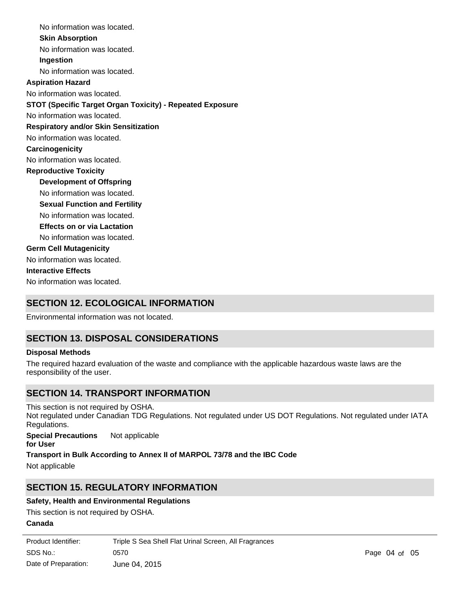No information was located. **Skin Absorption** No information was located. **Ingestion** No information was located. No information was located. **STOT (Specific Target Organ Toxicity) - Repeated Exposure Respiratory and/or Skin Sensitization** No information was located. **Carcinogenicity** No information was located. **Development of Offspring** No information was located. **Reproductive Toxicity** No information was located. **Germ Cell Mutagenicity** No information was located. **Interactive Effects** No information was located. **Sexual Function and Fertility Effects on or via Lactation** No information was located. No information was located. **Aspiration Hazard**

# **SECTION 12. ECOLOGICAL INFORMATION**

Environmental information was not located.

# **SECTION 13. DISPOSAL CONSIDERATIONS**

### **Disposal Methods**

The required hazard evaluation of the waste and compliance with the applicable hazardous waste laws are the responsibility of the user.

# **SECTION 14. TRANSPORT INFORMATION**

This section is not required by OSHA. Not regulated under Canadian TDG Regulations. Not regulated under US DOT Regulations. Not regulated under IATA Regulations.

**Special Precautions** Not applicable

**for User**

**Transport in Bulk According to Annex II of MARPOL 73/78 and the IBC Code**

Not applicable

# **SECTION 15. REGULATORY INFORMATION**

### **Safety, Health and Environmental Regulations**

This section is not required by OSHA.

# **Canada**

| Product Identifier:  | Triple S Sea Shell Flat Urinal Screen, All Fragrances |
|----------------------|-------------------------------------------------------|
| SDS No.:             | 0570                                                  |
| Date of Preparation: | June 04, 2015                                         |